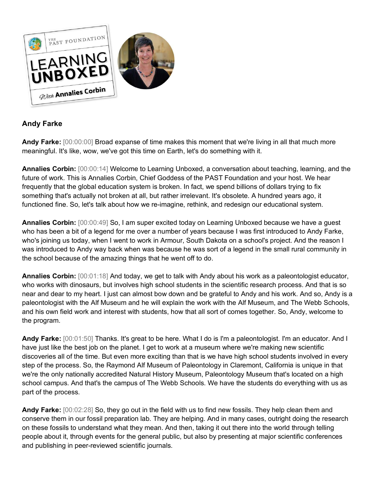

## **Andy Farke**

**Andy Farke:** [00:00:00] Broad expanse of time makes this moment that we're living in all that much more meaningful. It's like, wow, we've got this time on Earth, let's do something with it.

**Annalies Corbin:** [00:00:14] Welcome to Learning Unboxed, a conversation about teaching, learning, and the future of work. This is Annalies Corbin, Chief Goddess of the PAST Foundation and your host. We hear frequently that the global education system is broken. In fact, we spend billions of dollars trying to fix something that's actually not broken at all, but rather irrelevant. It's obsolete. A hundred years ago, it functioned fine. So, let's talk about how we re-imagine, rethink, and redesign our educational system.

**Annalies Corbin:** [00:00:49] So, I am super excited today on Learning Unboxed because we have a guest who has been a bit of a legend for me over a number of years because I was first introduced to Andy Farke, who's joining us today, when I went to work in Armour, South Dakota on a school's project. And the reason I was introduced to Andy way back when was because he was sort of a legend in the small rural community in the school because of the amazing things that he went off to do.

**Annalies Corbin:** [00:01:18] And today, we get to talk with Andy about his work as a paleontologist educator, who works with dinosaurs, but involves high school students in the scientific research process. And that is so near and dear to my heart. I just can almost bow down and be grateful to Andy and his work. And so, Andy is a paleontologist with the Alf Museum and he will explain the work with the Alf Museum, and The Webb Schools, and his own field work and interest with students, how that all sort of comes together. So, Andy, welcome to the program.

**Andy Farke:** [00:01:50] Thanks. It's great to be here. What I do is I'm a paleontologist. I'm an educator. And I have just like the best job on the planet. I get to work at a museum where we're making new scientific discoveries all of the time. But even more exciting than that is we have high school students involved in every step of the process. So, the Raymond Alf Museum of Paleontology in Claremont, California is unique in that we're the only nationally accredited Natural History Museum, Paleontology Museum that's located on a high school campus. And that's the campus of The Webb Schools. We have the students do everything with us as part of the process.

**Andy Farke:** [00:02:28] So, they go out in the field with us to find new fossils. They help clean them and conserve them in our fossil preparation lab. They are helping. And in many cases, outright doing the research on these fossils to understand what they mean. And then, taking it out there into the world through telling people about it, through events for the general public, but also by presenting at major scientific conferences and publishing in peer-reviewed scientific journals.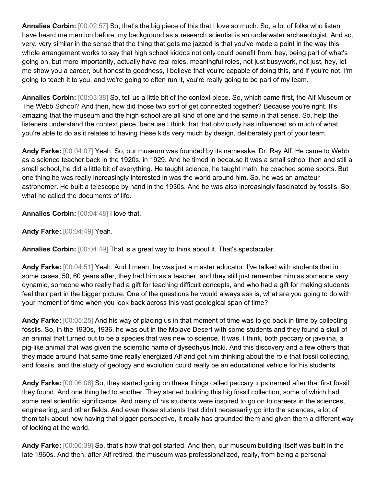**Annalies Corbin:** [00:02:57] So, that's the big piece of this that I love so much. So, a lot of folks who listen have heard me mention before, my background as a research scientist is an underwater archaeologist. And so, very, very similar in the sense that the thing that gets me jazzed is that you've made a point in the way this whole arrangement works to say that high school kiddos not only could benefit from, hey, being part of what's going on, but more importantly, actually have real roles, meaningful roles, not just busywork, not just, hey, let me show you a career, but honest to goodness, I believe that you're capable of doing this, and if you're not, I'm going to teach it to you, and we're going to often run it, you're really going to be part of my team.

**Annalies Corbin:** [00:03:38] So, tell us a little bit of the context piece. So, which came first, the Alf Museum or The Webb School? And then, how did those two sort of get connected together? Because you're right. It's amazing that the museum and the high school are all kind of one and the same in that sense. So, help the listeners understand the context piece, because I think that that obviously has influenced so much of what you're able to do as it relates to having these kids very much by design, deliberately part of your team.

**Andy Farke:** [00:04:07] Yeah. So, our museum was founded by its namesake, Dr. Ray Alf. He came to Webb as a science teacher back in the 1920s, in 1929. And he timed in because it was a small school then and still a small school, he did a little bit of everything. He taught science, he taught math, he coached some sports. But one thing he was really increasingly interested in was the world around him. So, he was an amateur astronomer. He built a telescope by hand in the 1930s. And he was also increasingly fascinated by fossils. So, what he called the documents of life.

**Annalies Corbin:** [00:04:48] I love that.

**Andy Farke:** [00:04:49] Yeah.

**Annalies Corbin:** [00:04:49] That is a great way to think about it. That's spectacular.

**Andy Farke:** [00:04:51] Yeah. And I mean, he was just a master educator. I've talked with students that in some cases, 50, 60 years after, they had him as a teacher, and they still just remember him as someone very dynamic, someone who really had a gift for teaching difficult concepts, and who had a gift for making students feel their part in the bigger picture. One of the questions he would always ask is, what are you going to do with your moment of time when you look back across this vast geological span of time?

**Andy Farke:** [00:05:25] And his way of placing us in that moment of time was to go back in time by collecting fossils. So, in the 1930s, 1936, he was out in the Mojave Desert with some students and they found a skull of an animal that turned out to be a species that was new to science. It was, I think, both peccary or javelina, a pig-like animal that was given the scientific name of dyseohyus fricki. And this discovery and a few others that they made around that same time really energized Alf and got him thinking about the role that fossil collecting, and fossils, and the study of geology and evolution could really be an educational vehicle for his students.

**Andy Farke:** [00:06:06] So, they started going on these things called peccary trips named after that first fossil they found. And one thing led to another. They started building this big fossil collection, some of which had some real scientific significance. And many of his students were inspired to go on to careers in the sciences, engineering, and other fields. And even those students that didn't necessarily go into the sciences, a lot of them talk about how having that bigger perspective, it really has grounded them and given them a different way of looking at the world.

**Andy Farke:** [00:06:39] So, that's how that got started. And then, our museum building itself was built in the late 1960s. And then, after Alf retired, the museum was professionalized, really, from being a personal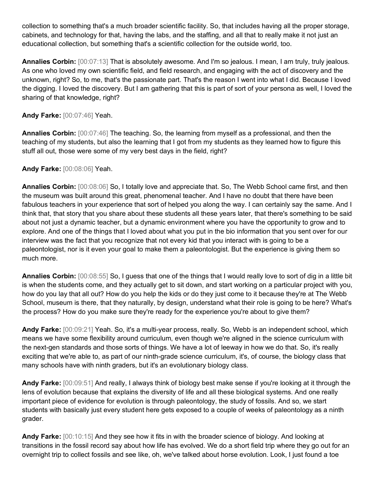collection to something that's a much broader scientific facility. So, that includes having all the proper storage, cabinets, and technology for that, having the labs, and the staffing, and all that to really make it not just an educational collection, but something that's a scientific collection for the outside world, too.

**Annalies Corbin:** [00:07:13] That is absolutely awesome. And I'm so jealous. I mean, I am truly, truly jealous. As one who loved my own scientific field, and field research, and engaging with the act of discovery and the unknown, right? So, to me, that's the passionate part. That's the reason I went into what I did. Because I loved the digging. I loved the discovery. But I am gathering that this is part of sort of your persona as well, I loved the sharing of that knowledge, right?

## **Andy Farke:** [00:07:46] Yeah.

**Annalies Corbin:** [00:07:46] The teaching. So, the learning from myself as a professional, and then the teaching of my students, but also the learning that I got from my students as they learned how to figure this stuff all out, those were some of my very best days in the field, right?

## **Andy Farke:** [00:08:06] Yeah.

**Annalies Corbin:** [00:08:06] So, I totally love and appreciate that. So, The Webb School came first, and then the museum was built around this great, phenomenal teacher. And I have no doubt that there have been fabulous teachers in your experience that sort of helped you along the way. I can certainly say the same. And I think that, that story that you share about these students all these years later, that there's something to be said about not just a dynamic teacher, but a dynamic environment where you have the opportunity to grow and to explore. And one of the things that I loved about what you put in the bio information that you sent over for our interview was the fact that you recognize that not every kid that you interact with is going to be a paleontologist, nor is it even your goal to make them a paleontologist. But the experience is giving them so much more.

**Annalies Corbin:** [00:08:55] So, I guess that one of the things that I would really love to sort of dig in a little bit is when the students come, and they actually get to sit down, and start working on a particular project with you, how do you lay that all out? How do you help the kids or do they just come to it because they're at The Webb School, museum is there, that they naturally, by design, understand what their role is going to be here? What's the process? How do you make sure they're ready for the experience you're about to give them?

**Andy Farke:** [00:09:21] Yeah. So, it's a multi-year process, really. So, Webb is an independent school, which means we have some flexibility around curriculum, even though we're aligned in the science curriculum with the next-gen standards and those sorts of things. We have a lot of leeway in how we do that. So, it's really exciting that we're able to, as part of our ninth-grade science curriculum, it's, of course, the biology class that many schools have with ninth graders, but it's an evolutionary biology class.

**Andy Farke:** [00:09:51] And really, I always think of biology best make sense if you're looking at it through the lens of evolution because that explains the diversity of life and all these biological systems. And one really important piece of evidence for evolution is through paleontology, the study of fossils. And so, we start students with basically just every student here gets exposed to a couple of weeks of paleontology as a ninth grader.

**Andy Farke:** [00:10:15] And they see how it fits in with the broader science of biology. And looking at transitions in the fossil record say about how life has evolved. We do a short field trip where they go out for an overnight trip to collect fossils and see like, oh, we've talked about horse evolution. Look, I just found a toe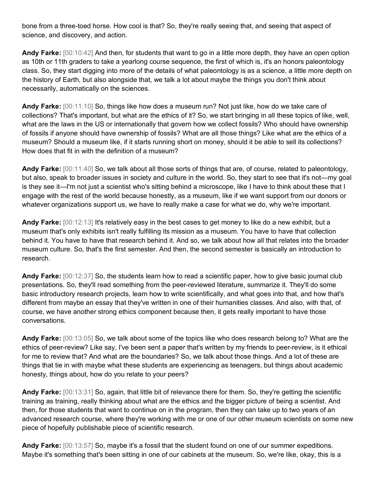bone from a three-toed horse. How cool is that? So, they're really seeing that, and seeing that aspect of science, and discovery, and action.

**Andy Farke:** [00:10:42] And then, for students that want to go in a little more depth, they have an open option as 10th or 11th graders to take a yearlong course sequence, the first of which is, it's an honors paleontology class. So, they start digging into more of the details of what paleontology is as a science, a little more depth on the history of Earth, but also alongside that, we talk a lot about maybe the things you don't think about necessarily, automatically on the sciences.

**Andy Farke:** [00:11:10] So, things like how does a museum run? Not just like, how do we take care of collections? That's important, but what are the ethics of it? So, we start bringing in all these topics of like, well, what are the laws in the US or internationally that govern how we collect fossils? Who should have ownership of fossils if anyone should have ownership of fossils? What are all those things? Like what are the ethics of a museum? Should a museum like, if it starts running short on money, should it be able to sell its collections? How does that fit in with the definition of a museum?

**Andy Farke:** [00:11:40] So, we talk about all those sorts of things that are, of course, related to paleontology, but also, speak to broader issues in society and culture in the world. So, they start to see that it's not—my goal is they see it—I'm not just a scientist who's sitting behind a microscope, like I have to think about these that I engage with the rest of the world because honestly, as a museum, like if we want support from our donors or whatever organizations support us, we have to really make a case for what we do, why we're important.

**Andy Farke:** [00:12:13] It's relatively easy in the best cases to get money to like do a new exhibit, but a museum that's only exhibits isn't really fulfilling its mission as a museum. You have to have that collection behind it. You have to have that research behind it. And so, we talk about how all that relates into the broader museum culture. So, that's the first semester. And then, the second semester is basically an introduction to research.

**Andy Farke:** [00:12:37] So, the students learn how to read a scientific paper, how to give basic journal club presentations. So, they'll read something from the peer-reviewed literature, summarize it. They'll do some basic introductory research projects, learn how to write scientifically, and what goes into that, and how that's different from maybe an essay that they've written in one of their humanities classes. And also, with that, of course, we have another strong ethics component because then, it gets really important to have those conversations.

**Andy Farke:** [00:13:05] So, we talk about some of the topics like who does research belong to? What are the ethics of peer-review? Like say, I've been sent a paper that's written by my friends to peer-review, is it ethical for me to review that? And what are the boundaries? So, we talk about those things. And a lot of these are things that tie in with maybe what these students are experiencing as teenagers, but things about academic honesty, things about, how do you relate to your peers?

**Andy Farke:** [00:13:31] So, again, that little bit of relevance there for them. So, they're getting the scientific training as training, really thinking about what are the ethics and the bigger picture of being a scientist. And then, for those students that want to continue on in the program, then they can take up to two years of an advanced research course, where they're working with me or one of our other museum scientists on some new piece of hopefully publishable piece of scientific research.

**Andy Farke:** [00:13:57] So, maybe it's a fossil that the student found on one of our summer expeditions. Maybe it's something that's been sitting in one of our cabinets at the museum. So, we're like, okay, this is a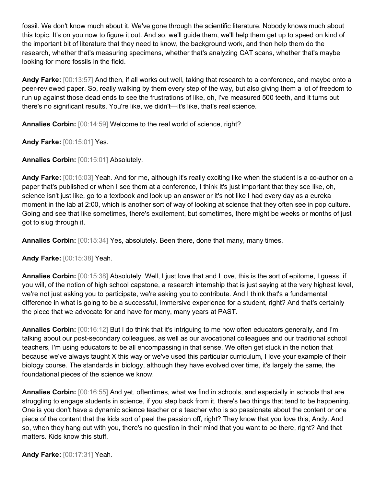fossil. We don't know much about it. We've gone through the scientific literature. Nobody knows much about this topic. It's on you now to figure it out. And so, we'll guide them, we'll help them get up to speed on kind of the important bit of literature that they need to know, the background work, and then help them do the research, whether that's measuring specimens, whether that's analyzing CAT scans, whether that's maybe looking for more fossils in the field.

**Andy Farke:** [00:13:57] And then, if all works out well, taking that research to a conference, and maybe onto a peer-reviewed paper. So, really walking by them every step of the way, but also giving them a lot of freedom to run up against those dead ends to see the frustrations of like, oh, I've measured 500 teeth, and it turns out there's no significant results. You're like, we didn't—it's like, that's real science.

**Annalies Corbin:** [00:14:59] Welcome to the real world of science, right?

**Andy Farke:** [00:15:01] Yes.

**Annalies Corbin:** [00:15:01] Absolutely.

**Andy Farke:** [00:15:03] Yeah. And for me, although it's really exciting like when the student is a co-author on a paper that's published or when I see them at a conference, I think it's just important that they see like, oh, science isn't just like, go to a textbook and look up an answer or it's not like I had every day as a eureka moment in the lab at 2:00, which is another sort of way of looking at science that they often see in pop culture. Going and see that like sometimes, there's excitement, but sometimes, there might be weeks or months of just got to slug through it.

**Annalies Corbin:** [00:15:34] Yes, absolutely. Been there, done that many, many times.

**Andy Farke:** [00:15:38] Yeah.

**Annalies Corbin:** [00:15:38] Absolutely. Well, I just love that and I love, this is the sort of epitome, I guess, if you will, of the notion of high school capstone, a research internship that is just saying at the very highest level, we're not just asking you to participate, we're asking you to contribute. And I think that's a fundamental difference in what is going to be a successful, immersive experience for a student, right? And that's certainly the piece that we advocate for and have for many, many years at PAST.

**Annalies Corbin:** [00:16:12] But I do think that it's intriguing to me how often educators generally, and I'm talking about our post-secondary colleagues, as well as our avocational colleagues and our traditional school teachers, I'm using educators to be all encompassing in that sense. We often get stuck in the notion that because we've always taught X this way or we've used this particular curriculum, I love your example of their biology course. The standards in biology, although they have evolved over time, it's largely the same, the foundational pieces of the science we know.

**Annalies Corbin:** [00:16:55] And yet, oftentimes, what we find in schools, and especially in schools that are struggling to engage students in science, if you step back from it, there's two things that tend to be happening. One is you don't have a dynamic science teacher or a teacher who is so passionate about the content or one piece of the content that the kids sort of peel the passion off, right? They know that you love this, Andy. And so, when they hang out with you, there's no question in their mind that you want to be there, right? And that matters. Kids know this stuff.

**Andy Farke:** [00:17:31] Yeah.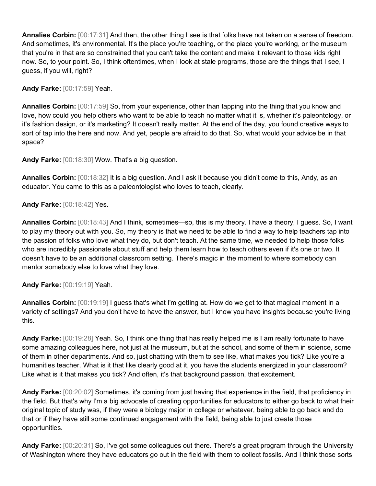**Annalies Corbin:** [00:17:31] And then, the other thing I see is that folks have not taken on a sense of freedom. And sometimes, it's environmental. It's the place you're teaching, or the place you're working, or the museum that you're in that are so constrained that you can't take the content and make it relevant to those kids right now. So, to your point. So, I think oftentimes, when I look at stale programs, those are the things that I see, I guess, if you will, right?

**Andy Farke:** [00:17:59] Yeah.

**Annalies Corbin:** [00:17:59] So, from your experience, other than tapping into the thing that you know and love, how could you help others who want to be able to teach no matter what it is, whether it's paleontology, or it's fashion design, or it's marketing? It doesn't really matter. At the end of the day, you found creative ways to sort of tap into the here and now. And yet, people are afraid to do that. So, what would your advice be in that space?

**Andy Farke:** [00:18:30] Wow. That's a big question.

**Annalies Corbin:** [00:18:32] It is a big question. And I ask it because you didn't come to this, Andy, as an educator. You came to this as a paleontologist who loves to teach, clearly.

## **Andy Farke:** [00:18:42] Yes.

**Annalies Corbin:** [00:18:43] And I think, sometimes—so, this is my theory. I have a theory, I guess. So, I want to play my theory out with you. So, my theory is that we need to be able to find a way to help teachers tap into the passion of folks who love what they do, but don't teach. At the same time, we needed to help those folks who are incredibly passionate about stuff and help them learn how to teach others even if it's one or two. It doesn't have to be an additional classroom setting. There's magic in the moment to where somebody can mentor somebody else to love what they love.

**Andy Farke:** [00:19:19] Yeah.

**Annalies Corbin:** [00:19:19] I guess that's what I'm getting at. How do we get to that magical moment in a variety of settings? And you don't have to have the answer, but I know you have insights because you're living this.

**Andy Farke:** [00:19:28] Yeah. So, I think one thing that has really helped me is I am really fortunate to have some amazing colleagues here, not just at the museum, but at the school, and some of them in science, some of them in other departments. And so, just chatting with them to see like, what makes you tick? Like you're a humanities teacher. What is it that like clearly good at it, you have the students energized in your classroom? Like what is it that makes you tick? And often, it's that background passion, that excitement.

**Andy Farke:** [00:20:02] Sometimes, it's coming from just having that experience in the field, that proficiency in the field. But that's why I'm a big advocate of creating opportunities for educators to either go back to what their original topic of study was, if they were a biology major in college or whatever, being able to go back and do that or if they have still some continued engagement with the field, being able to just create those opportunities.

**Andy Farke:** [00:20:31] So, I've got some colleagues out there. There's a great program through the University of Washington where they have educators go out in the field with them to collect fossils. And I think those sorts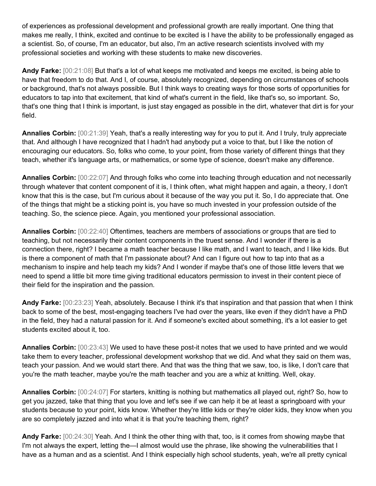of experiences as professional development and professional growth are really important. One thing that makes me really, I think, excited and continue to be excited is I have the ability to be professionally engaged as a scientist. So, of course, I'm an educator, but also, I'm an active research scientists involved with my professional societies and working with these students to make new discoveries.

**Andy Farke:** [00:21:08] But that's a lot of what keeps me motivated and keeps me excited, is being able to have that freedom to do that. And I, of course, absolutely recognized, depending on circumstances of schools or background, that's not always possible. But I think ways to creating ways for those sorts of opportunities for educators to tap into that excitement, that kind of what's current in the field, like that's so, so important. So, that's one thing that I think is important, is just stay engaged as possible in the dirt, whatever that dirt is for your field.

**Annalies Corbin:** [00:21:39] Yeah, that's a really interesting way for you to put it. And I truly, truly appreciate that. And although I have recognized that I hadn't had anybody put a voice to that, but I like the notion of encouraging our educators. So, folks who come, to your point, from those variety of different things that they teach, whether it's language arts, or mathematics, or some type of science, doesn't make any difference.

**Annalies Corbin:** [00:22:07] And through folks who come into teaching through education and not necessarily through whatever that content component of it is, I think often, what might happen and again, a theory, I don't know that this is the case, but I'm curious about it because of the way you put it. So, I do appreciate that. One of the things that might be a sticking point is, you have so much invested in your profession outside of the teaching. So, the science piece. Again, you mentioned your professional association.

**Annalies Corbin:** [00:22:40] Oftentimes, teachers are members of associations or groups that are tied to teaching, but not necessarily their content components in the truest sense. And I wonder if there is a connection there, right? I became a math teacher because I like math, and I want to teach, and I like kids. But is there a component of math that I'm passionate about? And can I figure out how to tap into that as a mechanism to inspire and help teach my kids? And I wonder if maybe that's one of those little levers that we need to spend a little bit more time giving traditional educators permission to invest in their content piece of their field for the inspiration and the passion.

**Andy Farke:** [00:23:23] Yeah, absolutely. Because I think it's that inspiration and that passion that when I think back to some of the best, most-engaging teachers I've had over the years, like even if they didn't have a PhD in the field, they had a natural passion for it. And if someone's excited about something, it's a lot easier to get students excited about it, too.

**Annalies Corbin:** [00:23:43] We used to have these post-it notes that we used to have printed and we would take them to every teacher, professional development workshop that we did. And what they said on them was, teach your passion. And we would start there. And that was the thing that we saw, too, is like, I don't care that you're the math teacher, maybe you're the math teacher and you are a whiz at knitting. Well, okay.

**Annalies Corbin:** [00:24:07] For starters, knitting is nothing but mathematics all played out, right? So, how to get you jazzed, take that thing that you love and let's see if we can help it be at least a springboard with your students because to your point, kids know. Whether they're little kids or they're older kids, they know when you are so completely jazzed and into what it is that you're teaching them, right?

**Andy Farke:** [00:24:30] Yeah. And I think the other thing with that, too, is it comes from showing maybe that I'm not always the expert, letting the—I almost would use the phrase, like showing the vulnerabilities that I have as a human and as a scientist. And I think especially high school students, yeah, we're all pretty cynical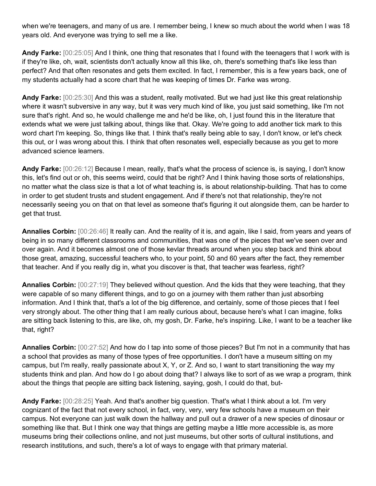when we're teenagers, and many of us are. I remember being, I knew so much about the world when I was 18 years old. And everyone was trying to sell me a like.

**Andy Farke:** [00:25:05] And I think, one thing that resonates that I found with the teenagers that I work with is if they're like, oh, wait, scientists don't actually know all this like, oh, there's something that's like less than perfect? And that often resonates and gets them excited. In fact, I remember, this is a few years back, one of my students actually had a score chart that he was keeping of times Dr. Farke was wrong.

**Andy Farke:** [00:25:30] And this was a student, really motivated. But we had just like this great relationship where it wasn't subversive in any way, but it was very much kind of like, you just said something, like I'm not sure that's right. And so, he would challenge me and he'd be like, oh, I just found this in the literature that extends what we were just talking about, things like that. Okay. We're going to add another tick mark to this word chart I'm keeping. So, things like that. I think that's really being able to say, I don't know, or let's check this out, or I was wrong about this. I think that often resonates well, especially because as you get to more advanced science learners.

**Andy Farke:** [00:26:12] Because I mean, really, that's what the process of science is, is saying, I don't know this, let's find out or oh, this seems weird, could that be right? And I think having those sorts of relationships, no matter what the class size is that a lot of what teaching is, is about relationship-building. That has to come in order to get student trusts and student engagement. And if there's not that relationship, they're not necessarily seeing you on that on that level as someone that's figuring it out alongside them, can be harder to get that trust.

**Annalies Corbin:** [00:26:46] It really can. And the reality of it is, and again, like I said, from years and years of being in so many different classrooms and communities, that was one of the pieces that we've seen over and over again. And it becomes almost one of those kevlar threads around when you step back and think about those great, amazing, successful teachers who, to your point, 50 and 60 years after the fact, they remember that teacher. And if you really dig in, what you discover is that, that teacher was fearless, right?

**Annalies Corbin:** [00:27:19] They believed without question. And the kids that they were teaching, that they were capable of so many different things, and to go on a journey with them rather than just absorbing information. And I think that, that's a lot of the big difference, and certainly, some of those pieces that I feel very strongly about. The other thing that I am really curious about, because here's what I can imagine, folks are sitting back listening to this, are like, oh, my gosh, Dr. Farke, he's inspiring. Like, I want to be a teacher like that, right?

**Annalies Corbin:** [00:27:52] And how do I tap into some of those pieces? But I'm not in a community that has a school that provides as many of those types of free opportunities. I don't have a museum sitting on my campus, but I'm really, really passionate about X, Y, or Z. And so, I want to start transitioning the way my students think and plan. And how do I go about doing that? I always like to sort of as we wrap a program, think about the things that people are sitting back listening, saying, gosh, I could do that, but-

**Andy Farke:** [00:28:25] Yeah. And that's another big question. That's what I think about a lot. I'm very cognizant of the fact that not every school, in fact, very, very, very few schools have a museum on their campus. Not everyone can just walk down the hallway and pull out a drawer of a new species of dinosaur or something like that. But I think one way that things are getting maybe a little more accessible is, as more museums bring their collections online, and not just museums, but other sorts of cultural institutions, and research institutions, and such, there's a lot of ways to engage with that primary material.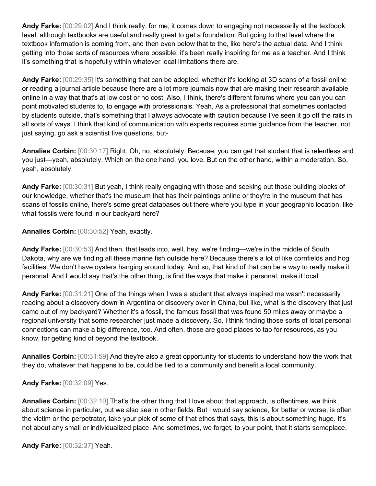**Andy Farke:** [00:29:02] And I think really, for me, it comes down to engaging not necessarily at the textbook level, although textbooks are useful and really great to get a foundation. But going to that level where the textbook information is coming from, and then even below that to the, like here's the actual data. And I think getting into those sorts of resources where possible, it's been really inspiring for me as a teacher. And I think it's something that is hopefully within whatever local limitations there are.

**Andy Farke:** [00:29:35] It's something that can be adopted, whether it's looking at 3D scans of a fossil online or reading a journal article because there are a lot more journals now that are making their research available online in a way that that's at low cost or no cost. Also, I think, there's different forums where you can you can point motivated students to, to engage with professionals. Yeah. As a professional that sometimes contacted by students outside, that's something that I always advocate with caution because I've seen it go off the rails in all sorts of ways. I think that kind of communication with experts requires some guidance from the teacher, not just saying, go ask a scientist five questions, but-

**Annalies Corbin:** [00:30:17] Right. Oh, no, absolutely. Because, you can get that student that is relentless and you just—yeah, absolutely. Which on the one hand, you love. But on the other hand, within a moderation. So, yeah, absolutely.

**Andy Farke:** [00:30:31] But yeah, I think really engaging with those and seeking out those building blocks of our knowledge, whether that's the museum that has their paintings online or they're in the museum that has scans of fossils online, there's some great databases out there where you type in your geographic location, like what fossils were found in our backyard here?

**Annalies Corbin:** [00:30:52] Yeah, exactly.

**Andy Farke:** [00:30:53] And then, that leads into, well, hey, we're finding—we're in the middle of South Dakota, why are we finding all these marine fish outside here? Because there's a lot of like cornfields and hog facilities. We don't have oysters hanging around today. And so, that kind of that can be a way to really make it personal. And I would say that's the other thing, is find the ways that make it personal, make it local.

**Andy Farke:** [00:31:21] One of the things when I was a student that always inspired me wasn't necessarily reading about a discovery down in Argentina or discovery over in China, but like, what is the discovery that just came out of my backyard? Whether it's a fossil, the famous fossil that was found 50 miles away or maybe a regional university that some researcher just made a discovery. So, I think finding those sorts of local personal connections can make a big difference, too. And often, those are good places to tap for resources, as you know, for getting kind of beyond the textbook.

**Annalies Corbin:** [00:31:59] And they're also a great opportunity for students to understand how the work that they do, whatever that happens to be, could be tied to a community and benefit a local community.

**Andy Farke:** [00:32:09] Yes.

**Annalies Corbin:** [00:32:10] That's the other thing that I love about that approach, is oftentimes, we think about science in particular, but we also see in other fields. But I would say science, for better or worse, is often the victim or the perpetrator, take your pick of some of that ethos that says, this is about something huge. It's not about any small or individualized place. And sometimes, we forget, to your point, that it starts someplace.

**Andy Farke:** [00:32:37] Yeah.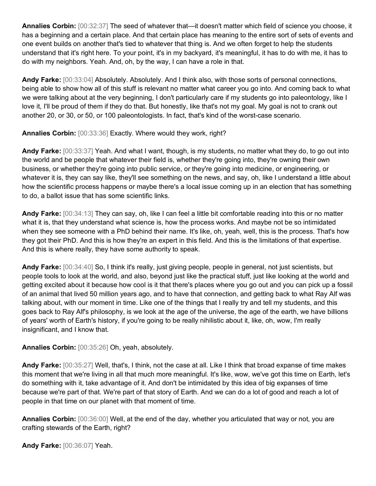**Annalies Corbin:** [00:32:37] The seed of whatever that—it doesn't matter which field of science you choose, it has a beginning and a certain place. And that certain place has meaning to the entire sort of sets of events and one event builds on another that's tied to whatever that thing is. And we often forget to help the students understand that it's right here. To your point, it's in my backyard, it's meaningful, it has to do with me, it has to do with my neighbors. Yeah. And, oh, by the way, I can have a role in that.

**Andy Farke:** [00:33:04] Absolutely. Absolutely. And I think also, with those sorts of personal connections, being able to show how all of this stuff is relevant no matter what career you go into. And coming back to what we were talking about at the very beginning, I don't particularly care if my students go into paleontology, like I love it, I'll be proud of them if they do that. But honestly, like that's not my goal. My goal is not to crank out another 20, or 30, or 50, or 100 paleontologists. In fact, that's kind of the worst-case scenario.

**Annalies Corbin:** [00:33:36] Exactly. Where would they work, right?

**Andy Farke:** [00:33:37] Yeah. And what I want, though, is my students, no matter what they do, to go out into the world and be people that whatever their field is, whether they're going into, they're owning their own business, or whether they're going into public service, or they're going into medicine, or engineering, or whatever it is, they can say like, they'll see something on the news, and say, oh, like I understand a little about how the scientific process happens or maybe there's a local issue coming up in an election that has something to do, a ballot issue that has some scientific links.

**Andy Farke:** [00:34:13] They can say, oh, like I can feel a little bit comfortable reading into this or no matter what it is, that they understand what science is, how the process works. And maybe not be so intimidated when they see someone with a PhD behind their name. It's like, oh, yeah, well, this is the process. That's how they got their PhD. And this is how they're an expert in this field. And this is the limitations of that expertise. And this is where really, they have some authority to speak.

**Andy Farke:** [00:34:40] So, I think it's really, just giving people, people in general, not just scientists, but people tools to look at the world, and also, beyond just like the practical stuff, just like looking at the world and getting excited about it because how cool is it that there's places where you go out and you can pick up a fossil of an animal that lived 50 million years ago, and to have that connection, and getting back to what Ray Alf was talking about, with our moment in time. Like one of the things that I really try and tell my students, and this goes back to Ray Alf's philosophy, is we look at the age of the universe, the age of the earth, we have billions of years' worth of Earth's history, if you're going to be really nihilistic about it, like, oh, wow, I'm really insignificant, and I know that.

**Annalies Corbin:** [00:35:26] Oh, yeah, absolutely.

**Andy Farke:** [00:35:27] Well, that's, I think, not the case at all. Like I think that broad expanse of time makes this moment that we're living in all that much more meaningful. It's like, wow, we've got this time on Earth, let's do something with it, take advantage of it. And don't be intimidated by this idea of big expanses of time because we're part of that. We're part of that story of Earth. And we can do a lot of good and reach a lot of people in that time on our planet with that moment of time.

**Annalies Corbin:** [00:36:00] Well, at the end of the day, whether you articulated that way or not, you are crafting stewards of the Earth, right?

**Andy Farke:** [00:36:07] Yeah.